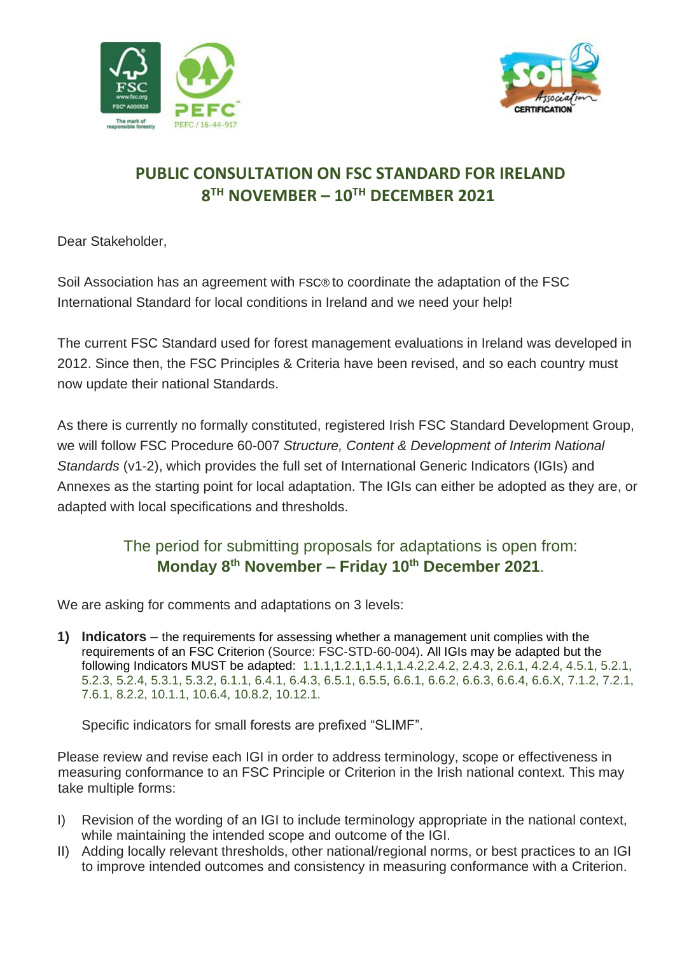



## **PUBLIC CONSULTATION ON FSC STANDARD FOR IRELAND 8 TH NOVEMBER – 10TH DECEMBER 2021**

Dear Stakeholder,

Soil Association has an agreement with FSC® to coordinate the adaptation of the FSC International Standard for local conditions in Ireland and we need your help!

The current FSC Standard used for forest management evaluations in Ireland was developed in 2012. Since then, the FSC Principles & Criteria have been revised, and so each country must now update their national Standards.

As there is currently no formally constituted, registered Irish FSC Standard Development Group, we will follow FSC Procedure 60-007 *Structure, Content & Development of Interim National Standards* (v1-2), which provides the full set of International Generic Indicators (IGIs) and Annexes as the starting point for local adaptation. The IGIs can either be adopted as they are, or adapted with local specifications and thresholds.

## The period for submitting proposals for adaptations is open from: **Monday 8th November – Friday 10th December 2021**.

We are asking for comments and adaptations on 3 levels:

**1) Indicators** – the requirements for assessing whether a management unit complies with the requirements of an FSC Criterion (Source: FSC-STD-60-004). All IGIs may be adapted but the following Indicators MUST be adapted: 1.1.1,1.2.1,1.4.1,1.4.2,2.4.2, 2.4.3, 2.6.1, 4.2.4, 4.5.1, 5.2.1, 5.2.3, 5.2.4, 5.3.1, 5.3.2, 6.1.1, 6.4.1, 6.4.3, 6.5.1, 6.5.5, 6.6.1, 6.6.2, 6.6.3, 6.6.4, 6.6.X, 7.1.2, 7.2.1, 7.6.1, 8.2.2, 10.1.1, 10.6.4, 10.8.2, 10.12.1.

Specific indicators for small forests are prefixed "SLIMF".

Please review and revise each IGI in order to address terminology, scope or effectiveness in measuring conformance to an FSC Principle or Criterion in the Irish national context. This may take multiple forms:

- I) Revision of the wording of an IGI to include terminology appropriate in the national context, while maintaining the intended scope and outcome of the IGI.
- II) Adding locally relevant thresholds, other national/regional norms, or best practices to an IGI to improve intended outcomes and consistency in measuring conformance with a Criterion.